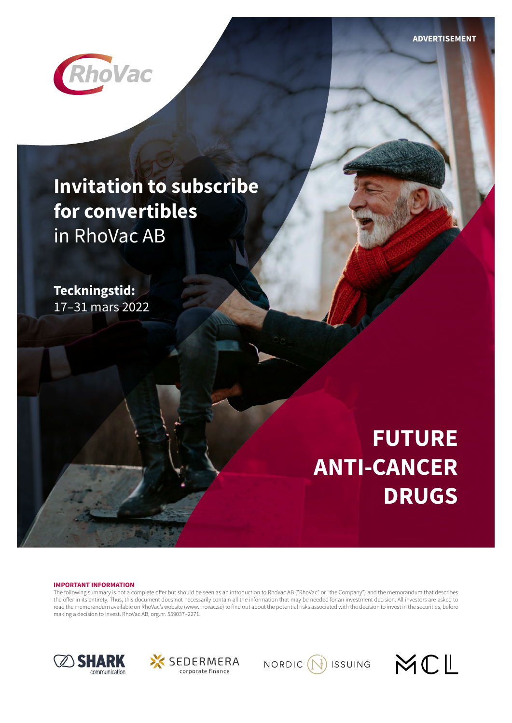

## **Invitation to subscribe for convertibles**  in RhoVac AB

**Teckningstid:**  17–31 mars 2022

# **FUTURE ANTI-CANCER DRUGS**

#### **IMPORTANT INFORMATION**

The following summary is not a complete offer but should be seen as an introduction to RhoVac AB ("RhoVac" or "the Company") and the memorandum that describes the offer in its entirety. Thus, this document does not necessarily contain all the information that may be needed for an investment decision. All investors are asked to read the memorandum available on RhoVac's website (www.rhovac.se) to find out about the potential risks associated with the decision to invest in the securities, before making a decision to invest. RhoVac AB, org.nr. 559037–2271.







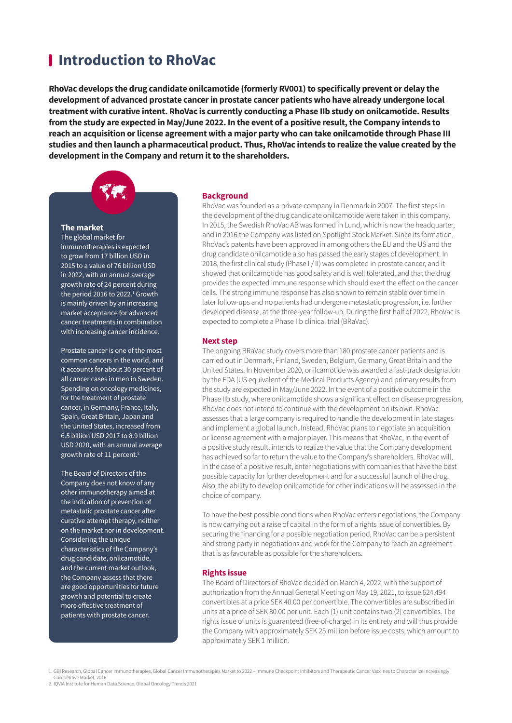### **Introduction to RhoVac**

**RhoVac develops the drug candidate onilcamotide (formerly RV001) to specifically prevent or delay the development of advanced prostate cancer in prostate cancer patients who have already undergone local treatment with curative intent. RhoVac is currently conducting a Phase IIb study on onilcamotide. Results from the study are expected in May/June 2022. In the event of a positive result, the Company intends to reach an acquisition or license agreement with a major party who can take onilcamotide through Phase III studies and then launch a pharmaceutical product. Thus, RhoVac intends to realize the value created by the development in the Company and return it to the shareholders.**



#### **The market**

The global market for immunotherapies is expected to grow from 17 billion USD in 2015 to a value of 76 billion USD in 2022, with an annual average growth rate of 24 percent during the period 2016 to 2022. $^1$  Growth is mainly driven by an increasing market acceptance for advanced cancer treatments in combination with increasing cancer incidence.

Prostate cancer is one of the most common cancers in the world, and it accounts for about 30 percent of all cancer cases in men in Sweden. Spending on oncology medicines, for the treatment of prostate cancer, in Germany, France, Italy, Spain, Great Britain, Japan and the United States, increased from 6.5 billion USD 2017 to 8.9 billion USD 2020, with an annual average growth rate of 11 percent.2

The Board of Directors of the Company does not know of any other immunotherapy aimed at the indication of prevention of metastatic prostate cancer after curative attempt therapy, neither on the market nor in development. Considering the unique characteristics of the Company's drug candidate, onilcamotide, and the current market outlook, the Company assess that there are good opportunities for future growth and potential to create more effective treatment of patients with prostate cancer.

#### **Background**

RhoVac was founded as a private company in Denmark in 2007. The first steps in the development of the drug candidate onilcamotide were taken in this company. In 2015, the Swedish RhoVac AB was formed in Lund, which is now the headquarter, and in 2016 the Company was listed on Spotlight Stock Market. Since its formation, RhoVac's patents have been approved in among others the EU and the US and the drug candidate onilcamotide also has passed the early stages of development. In 2018, the first clinical study (Phase I / II) was completed in prostate cancer, and it showed that onilcamotide has good safety and is well tolerated, and that the drug provides the expected immune response which should exert the effect on the cancer cells. The strong immune response has also shown to remain stable over time in later follow-ups and no patients had undergone metastatic progression, i.e. further developed disease, at the three-year follow-up. During the first half of 2022, RhoVac is expected to complete a Phase IIb clinical trial (BRaVac).

#### **Next step**

The ongoing BRaVac study covers more than 180 prostate cancer patients and is carried out in Denmark, Finland, Sweden, Belgium, Germany, Great Britain and the United States. In November 2020, onilcamotide was awarded a fast-track designation by the FDA (US equivalent of the Medical Products Agency) and primary results from the study are expected in May/June 2022. In the event of a positive outcome in the Phase IIb study, where onilcamotide shows a significant effect on disease progression, RhoVac does not intend to continue with the development on its own. RhoVac assesses that a large company is required to handle the development in late stages and implement a global launch. Instead, RhoVac plans to negotiate an acquisition or license agreement with a major player. This means that RhoVac, in the event of a positive study result, intends to realize the value that the Company development has achieved so far to return the value to the Company's shareholders. RhoVac will, in the case of a positive result, enter negotiations with companies that have the best possible capacity for further development and for a successful launch of the drug. Also, the ability to develop onilcamotide for other indications will be assessed in the choice of company.

To have the best possible conditions when RhoVac enters negotiations, the Company is now carrying out a raise of capital in the form of a rights issue of convertibles. By securing the financing for a possible negotiation period, RhoVac can be a persistent and strong party in negotiations and work for the Company to reach an agreement that is as favourable as possible for the shareholders.

#### **Rights issue**

The Board of Directors of RhoVac decided on March 4, 2022, with the support of authorization from the Annual General Meeting on May 19, 2021, to issue 624,494 convertibles at a price SEK 40.00 per convertible. The convertibles are subscribed in units at a price of SEK 80.00 per unit. Each (1) unit contains two (2) convertibles. The rights issue of units is guaranteed (free-of-charge) in its entirety and will thus provide the Company with approximately SEK 25 million before issue costs, which amount to approximately SEK 1 million.

1. GBI Research, Global Cancer Immunotherapies, Global Cancer Immunotherapies Market to 2022 – Immune Checkpoint Inhibitors and Therapeutic Cancer Vaccines to Character ize Increasingly Competitive Market, 2016

2. IQVIA Institute for Human Data Science, Global Oncology Trends 2021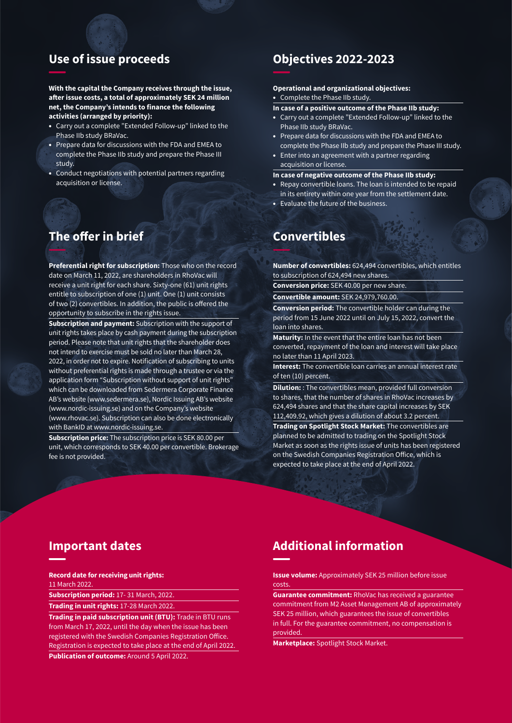**With the capital the Company receives through the issue, after issue costs, a total of approximately SEK 24 million net, the Company's intends to finance the following activities (arranged by priority):** 

- Carry out a complete "Extended Follow-up" linked to the Phase IIb study BRaVac.
- Prepare data for discussions with the FDA and EMEA to complete the Phase IIb study and prepare the Phase III study.
- Conduct negotiations with potential partners regarding acquisition or license.

### **The offer in brief**

**Preferential right for subscription:** Those who on the record date on March 11, 2022, are shareholders in RhoVac will receive a unit right for each share. Sixty-one (61) unit rights entitle to subscription of one (1) unit. One (1) unit consists of two (2) convertibles. In addition, the public is offered the opportunity to subscribe in the rights issue.

**Subscription and payment:** Subscription with the support of unit rights takes place by cash payment during the subscription period. Please note that unit rights that the shareholder does not intend to exercise must be sold no later than March 28, 2022, in order not to expire. Notification of subscribing to units without preferential rights is made through a trustee or via the application form "Subscription without support of unit rights" which can be downloaded from Sedermera Corporate Finance AB's website (www.sedermera.se), Nordic Issuing AB's website (www.nordic-issuing.se) and on the Company's website (www.rhovac.se). Subscription can also be done electronically with BankID at www.nordic-issuing.se.

**Subscription price:** The subscription price is SEK 80.00 per unit, which corresponds to SEK 40.00 per convertible. Brokerage fee is not provided.

### **Use of issue proceeds Objectives 2022-2023**

#### **Operational and organizational objectives:**

• Complete the Phase IIb study.

- **In case of a positive outcome of the Phase IIb study:**
- Carry out a complete "Extended Follow-up" linked to the Phase IIb study BRaVac.
- Prepare data for discussions with the FDA and EMEA to complete the Phase IIb study and prepare the Phase III study.
- Enter into an agreement with a partner regarding acquisition or license.
- **In case of negative outcome of the Phase IIb study:**
- Repay convertible loans. The loan is intended to be repaid in its entirety within one year from the settlement date.
- Evaluate the future of the business.

### **Convertibles**

**Number of convertibles:** 624,494 convertibles, which entitles to subscription of 624,494 new shares.

**Conversion price:** SEK 40.00 per new share.

**Convertible amount:** SEK 24,979,760.00.

**Conversion period:** The convertible holder can during the period from 15 June 2022 until on July 15, 2022, convert the loan into shares.

**Maturity:** In the event that the entire loan has not been converted, repayment of the loan and interest will take place no later than 11 April 2023.

**Interest:** The convertible loan carries an annual interest rate of ten (10) percent.

**Dilution:** : The convertibles mean, provided full conversion to shares, that the number of shares in RhoVac increases by 624,494 shares and that the share capital increases by SEK 112,409.92, which gives a dilution of about 3.2 percent. **Trading on Spotlight Stock Market:** The convertibles are planned to be admitted to trading on the Spotlight Stock Market as soon as the rights issue of units has been registered on the Swedish Companies Registration Office, which is

### **Important dates**

**Record date for receiving unit rights:** 

11 March 2022.

**Subscription period:** 17- 31 March, 2022.

**Trading in unit rights:** 17-28 March 2022.

**Trading in paid subscription unit (BTU):** Trade in BTU runs from March 17, 2022, until the day when the issue has been registered with the Swedish Companies Registration Office. Registration is expected to take place at the end of April 2022. **Publication of outcome:** Around 5 April 2022.

### **Additional information**

expected to take place at the end of April 2022.

**Issue volume:** Approximately SEK 25 million before issue costs.

**Guarantee commitment:** RhoVac has received a guarantee commitment from M2 Asset Management AB of approximately SEK 25 million, which guarantees the issue of convertibles in full. For the guarantee commitment, no compensation is provided.

**Marketplace:** Spotlight Stock Market.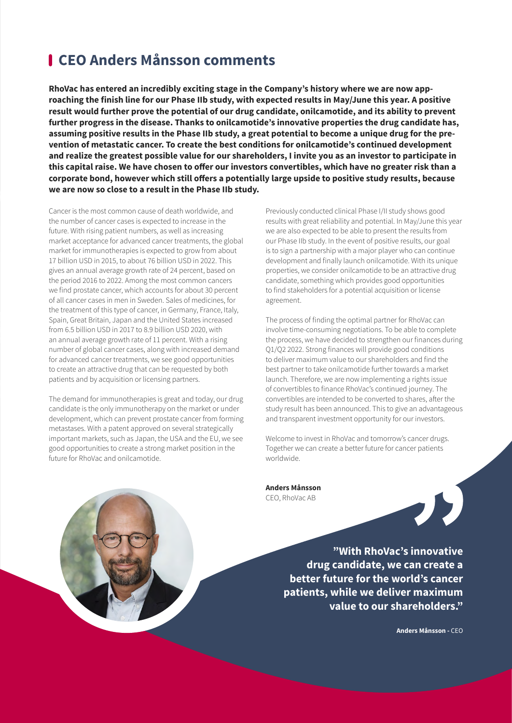### **CEO Anders Månsson comments**

**RhoVac has entered an incredibly exciting stage in the Company's history where we are now approaching the finish line for our Phase IIb study, with expected results in May/June this year. A positive result would further prove the potential of our drug candidate, onilcamotide, and its ability to prevent further progress in the disease. Thanks to onilcamotide's innovative properties the drug candidate has, assuming positive results in the Phase IIb study, a great potential to become a unique drug for the prevention of metastatic cancer. To create the best conditions for onilcamotide's continued development and realize the greatest possible value for our shareholders, I invite you as an investor to participate in this capital raise. We have chosen to offer our investors convertibles, which have no greater risk than a corporate bond, however which still offers a potentially large upside to positive study results, because we are now so close to a result in the Phase IIb study.**

Cancer is the most common cause of death worldwide, and the number of cancer cases is expected to increase in the future. With rising patient numbers, as well as increasing market acceptance for advanced cancer treatments, the global market for immunotherapies is expected to grow from about 17 billion USD in 2015, to about 76 billion USD in 2022. This gives an annual average growth rate of 24 percent, based on the period 2016 to 2022. Among the most common cancers we find prostate cancer, which accounts for about 30 percent of all cancer cases in men in Sweden. Sales of medicines, for the treatment of this type of cancer, in Germany, France, Italy, Spain, Great Britain, Japan and the United States increased from 6.5 billion USD in 2017 to 8.9 billion USD 2020, with an annual average growth rate of 11 percent. With a rising number of global cancer cases, along with increased demand for advanced cancer treatments, we see good opportunities to create an attractive drug that can be requested by both patients and by acquisition or licensing partners.

The demand for immunotherapies is great and today, our drug candidate is the only immunotherapy on the market or under development, which can prevent prostate cancer from forming metastases. With a patent approved on several strategically important markets, such as Japan, the USA and the EU, we see good opportunities to create a strong market position in the future for RhoVac and onilcamotide.

Previously conducted clinical Phase I/II study shows good results with great reliability and potential. In May/June this year we are also expected to be able to present the results from our Phase IIb study. In the event of positive results, our goal is to sign a partnership with a major player who can continue development and finally launch onilcamotide. With its unique properties, we consider onilcamotide to be an attractive drug candidate, something which provides good opportunities to find stakeholders for a potential acquisition or license agreement.

The process of finding the optimal partner for RhoVac can involve time-consuming negotiations. To be able to complete the process, we have decided to strengthen our finances during Q1/Q2 2022. Strong finances will provide good conditions to deliver maximum value to our shareholders and find the best partner to take onilcamotide further towards a market launch. Therefore, we are now implementing a rights issue of convertibles to finance RhoVac's continued journey. The convertibles are intended to be converted to shares, after the study result has been announced. This to give an advantageous and transparent investment opportunity for our investors.

Welcome to invest in RhoVac and tomorrow's cancer drugs. Together we can create a better future for cancer patients worldwide.



**Anders Månsson** CEO, RhoVac AB

> **"With RhoVac's innovative drug candidate, we can create a better future for the world's cancer patients, while we deliver maximum value to our shareholders."**

> > **Anders Månsson -** CEO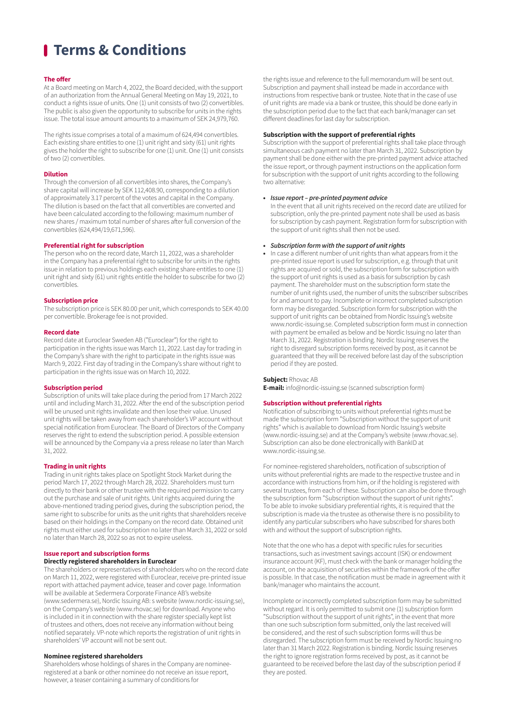## **Terms & Conditions**

#### **The offer**

At a Board meeting on March 4, 2022, the Board decided, with the support of an authorization from the Annual General Meeting on May 19, 2021, to conduct a rights issue of units. One (1) unit consists of two (2) convertibles. The public is also given the opportunity to subscribe for units in the rights issue. The total issue amount amounts to a maximum of SEK 24,979,760.

The rights issue comprises a total of a maximum of 624,494 convertibles. Each existing share entitles to one (1) unit right and sixty (61) unit rights gives the holder the right to subscribe for one (1) unit. One (1) unit consists of two (2) convertibles.

#### **Dilution**

Through the conversion of all convertibles into shares, the Company's share capital will increase by SEK 112,408.90, corresponding to a dilution of approximately 3.17 percent of the votes and capital in the Company. The dilution is based on the fact that all convertibles are converted and have been calculated according to the following: maximum number of new shares / maximum total number of shares after full conversion of the convertibles (624,494/19,671,596).

#### **Preferential right for subscription**

The person who on the record date, March 11, 2022, was a shareholder in the Company has a preferential right to subscribe for units in the rights issue in relation to previous holdings each existing share entitles to one (1) unit right and sixty (61) unit rights entitle the holder to subscribe for two (2) convertibles.

#### **Subscription price**

The subscription price is SEK 80.00 per unit, which corresponds to SEK 40.00 per convertible. Brokerage fee is not provided.

#### **Record date**

Record date at Euroclear Sweden AB ("Euroclear") for the right to participation in the rights issue was March 11, 2022. Last day for trading in the Company's share with the right to participate in the rights issue was March 9, 2022. First day of trading in the Company's share without right to participation in the rights issue was on March 10, 2022.

#### **Subscription period**

Subscription of units will take place during the period from 17 March 2022 until and including March 31, 2022. After the end of the subscription period will be unused unit rights invalidate and then lose their value. Unused unit rights will be taken away from each shareholder's VP account without special notification from Euroclear. The Board of Directors of the Company reserves the right to extend the subscription period. A possible extension will be announced by the Company via a press release no later than March 31, 2022.

#### **Trading in unit rights**

Trading in unit rights takes place on Spotlight Stock Market during the period March 17, 2022 through March 28, 2022. Shareholders must turn directly to their bank or other trustee with the required permission to carry out the purchase and sale of unit rights. Unit rights acquired during the above-mentioned trading period gives, during the subscription period, the same right to subscribe for units as the unit rights that shareholders receive based on their holdings in the Company on the record date. Obtained unit rights must either used for subscription no later than March 31, 2022 or sold no later than March 28, 2022 so as not to expire useless.

#### **Issue report and subscription forms**

#### **Directly registered shareholders in Euroclear**

The shareholders or representatives of shareholders who on the record date on March 11, 2022, were registered with Euroclear, receive pre-printed issue report with attached payment advice, teaser and cover page. Information will be available at Sedermera Corporate Finance AB's website (www.sedermera.se), Nordic Issuing AB: s website (www.nordic-issuing.se), on the Company's website (www.rhovac.se) for download. Anyone who is included in it in connection with the share register specially kept list of trustees and others, does not receive any information without being notified separately. VP-note which reports the registration of unit rights in shareholders' VP account will not be sent out.

#### **Nominee registered shareholders**

Shareholders whose holdings of shares in the Company are nomineeregistered at a bank or other nominee do not receive an issue report, however, a teaser containing a summary of conditions for

the rights issue and reference to the full memorandum will be sent out. Subscription and payment shall instead be made in accordance with instructions from respective bank or trustee. Note that in the case of use of unit rights are made via a bank or trustee, this should be done early in the subscription period due to the fact that each bank/manager can set different deadlines for last day for subscription.

#### **Subscription with the support of preferential rights**

Subscription with the support of preferential rights shall take place through simultaneous cash payment no later than March 31, 2022. Subscription by payment shall be done either with the pre-printed payment advice attached the issue report, or through payment instructions on the application form for subscription with the support of unit rights according to the following two alternative:

#### **•** *Issue report – pre-printed payment advice*

In the event that all unit rights received on the record date are utilized for subscription, only the pre-printed payment note shall be used as basis for subscription by cash payment. Registration form for subscription with the support of unit rights shall then not be used.

#### **•** *Subscription form with the support of unit rights*

**•** In case a different number of unit rights than what appears from it the pre-printed issue report is used for subscription, e.g. through that unit rights are acquired or sold, the subscription form for subscription with the support of unit rights is used as a basis for subscription by cash payment. The shareholder must on the subscription form state the number of unit rights used, the number of units the subscriber subscribes for and amount to pay. Incomplete or incorrect completed subscription form may be disregarded. Subscription form for subscription with the support of unit rights can be obtained from Nordic Issuing's website www.nordic-issuing.se. Completed subscription form must in connection with payment be emailed as below and be Nordic Issuing no later than March 31, 2022. Registration is binding. Nordic Issuing reserves the right to disregard subscription forms received by post, as it cannot be guaranteed that they will be received before last day of the subscription period if they are posted.

#### **Subject:** Rhovac AB

**E-mail:** info@nordic-issuing.se (scanned subscription form)

#### **Subscription without preferential rights**

Notification of subscribing to units without preferential rights must be made the subscription form "Subscription without the support of unit rights" which is available to download from Nordic Issuing's website (www.nordic-issuing.se) and at the Company's website (www.rhovac.se). Subscription can also be done electronically with BankID at www.nordic-issuing.se.

For nominee-registered shareholders, notification of subscription of units without preferential rights are made to the respective trustee and in accordance with instructions from him, or if the holding is registered with several trustees, from each of these. Subscription can also be done through the subscription form "Subscription without the support of unit rights". To be able to invoke subsidiary preferential rights, it is required that the subscription is made via the trustee as otherwise there is no possibility to identify any particular subscribers who have subscribed for shares both with and without the support of subscription rights.

Note that the one who has a depot with specific rules for securities transactions, such as investment savings account (ISK) or endowment insurance account (KF), must check with the bank or manager holding the account, on the acquisition of securities within the framework of the offer is possible. In that case, the notification must be made in agreement with it bank/manager who maintains the account.

Incomplete or incorrectly completed subscription form may be submitted without regard. It is only permitted to submit one (1) subscription form "Subscription without the support of unit rights", in the event that more than one such subscription form submitted, only the last received will be considered, and the rest of such subscription forms will thus be disregarded. The subscription form must be received by Nordic Issuing no later than 31 March 2022. Registration is binding. Nordic Issuing reserves the right to ignore registration forms received by post, as it cannot be guaranteed to be received before the last day of the subscription period if they are posted.